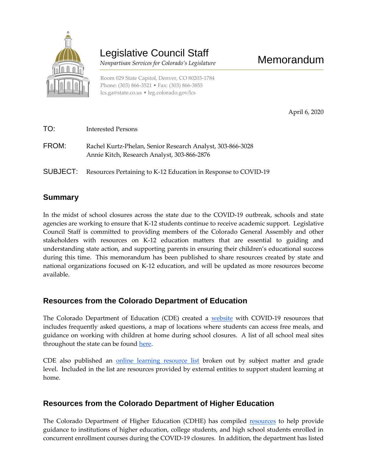

# Legislative Council Staff

 *Nonpartisan Services for Colorado's Legislature*

Room 029 State Capitol, Denver, CO 80203-1784 Phone: (303) 866-3521 • Fax: (303) 866-3855 [lcs.ga@state.co.us](mailto:lcs.ga@state.co.us) • [leg.colorado.gov/lcs](http://leg.colorado.gov/lcs)

April 6, 2020

| TO:   | Interested Persons                                                                                        |
|-------|-----------------------------------------------------------------------------------------------------------|
| FROM: | Rachel Kurtz-Phelan, Senior Research Analyst, 303-866-3028<br>Annie Kitch, Research Analyst, 303-866-2876 |
|       | <b>SUBJECT:</b> Resources Pertaining to K-12 Education in Response to COVID-19                            |

#### **Summary**

In the midst of school closures across the state due to the COVID-19 outbreak, schools and state agencies are working to ensure that K-12 students continue to receive academic support. Legislative Council Staff is committed to providing members of the Colorado General Assembly and other stakeholders with resources on K-12 education matters that are essential to guiding and understanding state action, and supporting parents in ensuring their children's educational success during this time. This memorandum has been published to share resources created by state and national organizations focused on K-12 education, and will be updated as more resources become available.

## **Resources from the Colorado Department of Education**

The Colorado Department of Education (CDE) created a [website](https://www.cde.state.co.us/safeschools) with COVID-19 resources that includes frequently asked questions, a map of locations where students can access free meals, and guidance on working with children at home during school closures. A list of all school meal sites throughout the state can be found [here.](https://app.smartsheet.com/b/publish?EQBCT=eaae70d787a643b59359fe09e99b88d1)

CDE also published an [online learning resource list](https://www.cde.state.co.us/learningathome/remotelearningresources#ma) broken out by subject matter and grade level. Included in the list are resources provided by external entities to support student learning at home.

## **Resources from the Colorado Department of Higher Education**

The Colorado Department of Higher Education (CDHE) has compiled [resources](https://highered.colorado.gov/Staying_informed_about_COVID-19.html) to help provide guidance to institutions of higher education, college students, and high school students enrolled in concurrent enrollment courses during the COVID-19 closures. In addition, the department has listed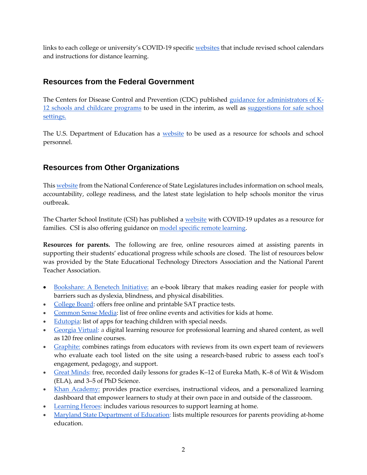links to each college or university's COVID-19 specific [websites](https://highered.colorado.gov/Staying_informed_about_COVID-19.html) that include revised school calendars and instructions for distance learning.

#### **Resources from the Federal Government**

The Centers for Disease Control and Prevention (CDC) published [guidance for administrators of K-](https://www.cdc.gov/coronavirus/2019-ncov/community/schools-childcare/guidance-for-schools.html)[12 schools and childcare programs](https://www.cdc.gov/coronavirus/2019-ncov/community/schools-childcare/guidance-for-schools.html) to be used in the interim, as well as [suggestions for safe school](https://www.cdc.gov/coronavirus/2019-ncov/community/schools-childcare/index.html)  [settings.](https://www.cdc.gov/coronavirus/2019-ncov/community/schools-childcare/index.html)

The U.S. Department of Education has a [website](https://www.ed.gov/coronavirus) to be used as a resource for schools and school personnel.

## **Resources from Other Organizations**

Thi[s website](https://www.ncsl.org/research/education/public-education-response-to-coronavirus-covid-19.aspx) from the National Conference of State Legislatures includes information on school meals, accountability, college readiness, and the latest state legislation to help schools monitor the virus outbreak.

The Charter School Institute (CSI) has published a [website](https://resources.csi.state.co.us/coronavirus/) with COVID-19 updates as a resource for families. CSI is also offering guidance on [model specific remote learning.](https://resources.csi.state.co.us/model-specific-remote-learning/)

**Resources for parents.** The following are free, online resources aimed at assisting parents in supporting their students' educational progress while schools are closed. The list of resources below was provided by the State Educational Technology Directors Association and the National Parent Teacher Association.

- [Bookshare: A Benetech Initiative:](https://www.bookshare.org/) an e-book library that makes reading easier for people with barriers such as dyslexia, blindness, and physical disabilities.
- [College Board:](https://collegereadiness.collegeboard.org/sat/practice/full-length-practice-tests) offers free online and printable SAT practice tests.
- [Common Sense Media:](https://www.commonsensemedia.org/blog/free-online-events-activities-kids-at-home-coronavirus) list of free online events and activities for kids at home.
- [Edutopia:](https://www.edutopia.org/article/apps-students-special-needs-school-buildings-shutter) list of apps for teaching children with special needs.
- [Georgia Virtual:](http://www.gavirtuallearning.org/resources/sharedlandingpage.aspx) a digital learning resource for professional learning and shared content, as well as 120 free online courses.
- [Graphite:](https://www.commonsense.org/education/reviews/all#%2Fall) combines ratings from educators with reviews from its own expert team of reviewers who evaluate each tool listed on the site using a research-based rubric to assess each tool's engagement, pedagogy, and support.
- [Great Minds:](https://greatminds.org/) free, recorded daily lessons for grades K-12 of Eureka Math, K-8 of Wit & Wisdom (ELA), and 3–5 of PhD Science.
- [Khan Academy:](https://www.khanacademy.org/) provides practice exercises, instructional videos, and a personalized learning dashboard that empower learners to study at their own pace in and outside of the classroom.
- [Learning Heroes:](https://bealearninghero.org/readiness-roadmap/) includes various resources to support learning at home.
- [Maryland State Department of Ed](https://www.setda.org/wp-content/uploads/2020/03/Parent-Resources_3_18.pdf)ucation: lists multiple resources for parents providing at-home education.